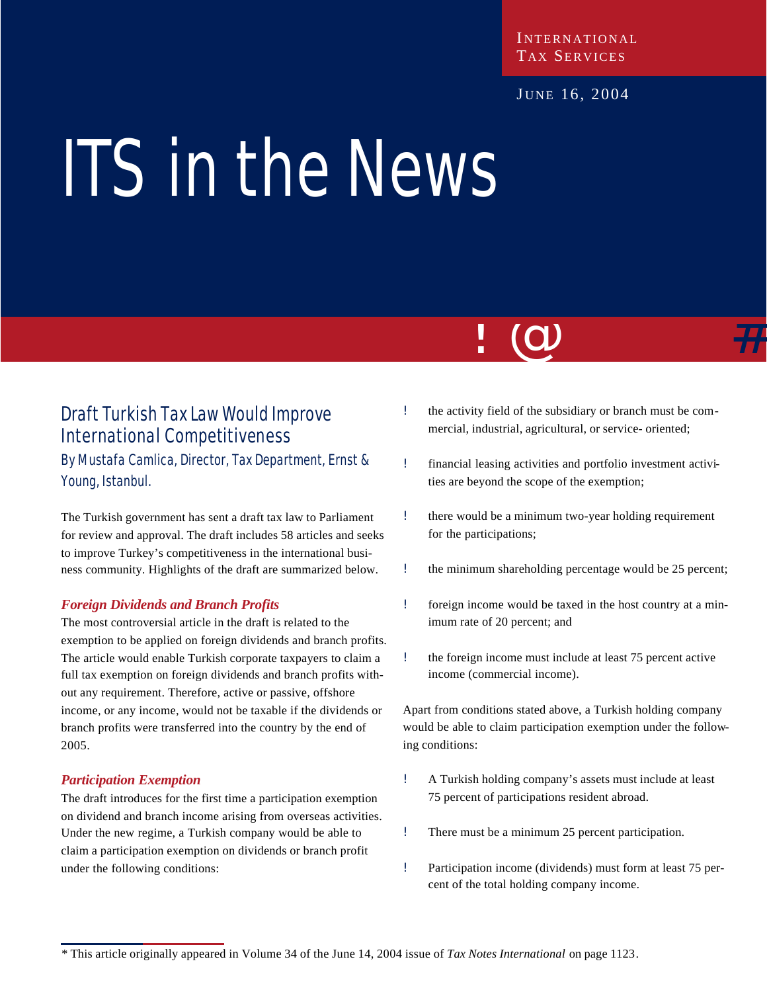#### **INTERNATIONAL** TAX SERVICES

#### JUNE 16, 2004

# ITS in the News

## Draft Turkish Tax Law Would Improve International Competitiveness

By Mustafa Camlica, Director, Tax Department, Ernst & Young, Istanbul.

The Turkish government has sent a draft tax law to Parliament for review and approval. The draft includes 58 articles and seeks to improve Turkey's competitiveness in the international business community. Highlights of the draft are summarized below.

#### *Foreign Dividends and Branch Profits*

The most controversial article in the draft is related to the exemption to be applied on foreign dividends and branch profits. The article would enable Turkish corporate taxpayers to claim a full tax exemption on foreign dividends and branch profits without any requirement. Therefore, active or passive, offshore income, or any income, would not be taxable if the dividends or branch profits were transferred into the country by the end of 2005.

#### *Participation Exemption*

The draft introduces for the first time a participation exemption on dividend and branch income arising from overseas activities. Under the new regime, a Turkish company would be able to claim a participation exemption on dividends or branch profit under the following conditions:

! the activity field of the subsidiary or branch must be commercial, industrial, agricultural, or service- oriented;

<u>: W</u>

- ! financial leasing activities and portfolio investment activities are beyond the scope of the exemption;
- ! there would be a minimum two-year holding requirement for the participations;
- ! the minimum shareholding percentage would be 25 percent;
- ! foreign income would be taxed in the host country at a minimum rate of 20 percent; and
- ! the foreign income must include at least 75 percent active income (commercial income).

Apart from conditions stated above, a Turkish holding company would be able to claim participation exemption under the following conditions:

- ! A Turkish holding company's assets must include at least 75 percent of participations resident abroad.
- ! There must be a minimum 25 percent participation.
- ! Participation income (dividends) must form at least 75 percent of the total holding company income.

*<sup>\*</sup>* This article originally appeared in Volume 34 of the June 14, 2004 issue of *Tax Notes International* on page 1123.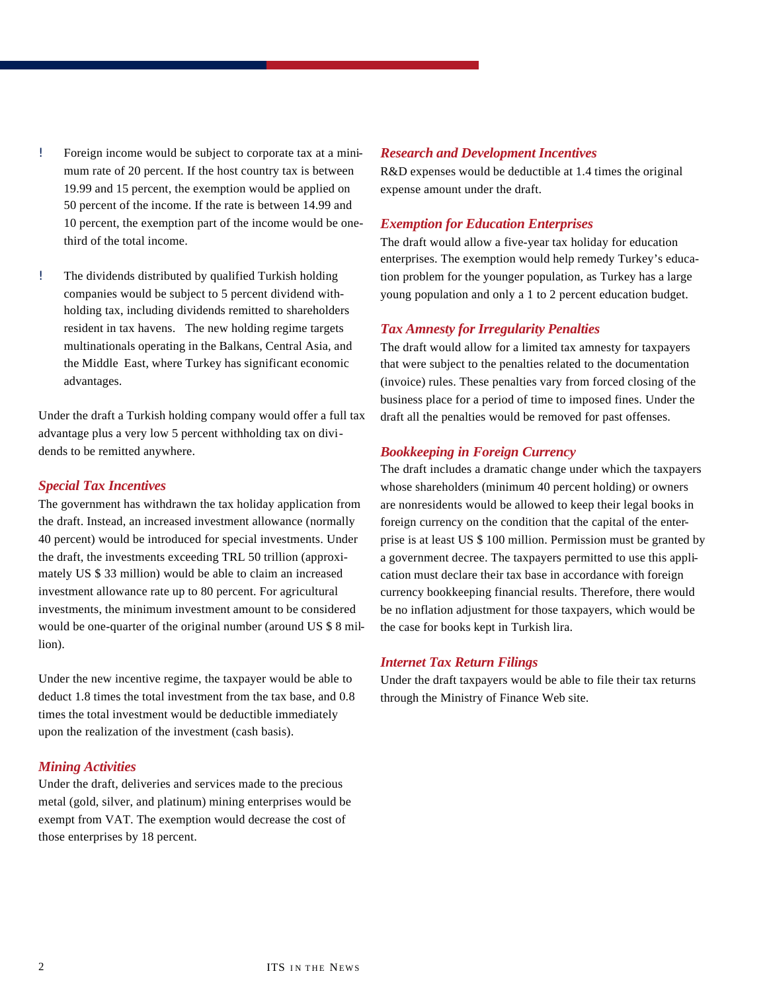- ! Foreign income would be subject to corporate tax at a minimum rate of 20 percent. If the host country tax is between 19.99 and 15 percent, the exemption would be applied on 50 percent of the income. If the rate is between 14.99 and 10 percent, the exemption part of the income would be onethird of the total income.
- ! The dividends distributed by qualified Turkish holding companies would be subject to 5 percent dividend withholding tax, including dividends remitted to shareholders resident in tax havens. The new holding regime targets multinationals operating in the Balkans, Central Asia, and the Middle East, where Turkey has significant economic advantages.

Under the draft a Turkish holding company would offer a full tax advantage plus a very low 5 percent withholding tax on dividends to be remitted anywhere.

#### *Special Tax Incentives*

The government has withdrawn the tax holiday application from the draft. Instead, an increased investment allowance (normally 40 percent) would be introduced for special investments. Under the draft, the investments exceeding TRL 50 trillion (approximately US \$ 33 million) would be able to claim an increased investment allowance rate up to 80 percent. For agricultural investments, the minimum investment amount to be considered would be one-quarter of the original number (around US \$ 8 million).

Under the new incentive regime, the taxpayer would be able to deduct 1.8 times the total investment from the tax base, and 0.8 times the total investment would be deductible immediately upon the realization of the investment (cash basis).

#### *Mining Activities*

Under the draft, deliveries and services made to the precious metal (gold, silver, and platinum) mining enterprises would be exempt from VAT. The exemption would decrease the cost of those enterprises by 18 percent.

#### *Research and Development Incentives*

R&D expenses would be deductible at 1.4 times the original expense amount under the draft.

#### *Exemption for Education Enterprises*

The draft would allow a five-year tax holiday for education enterprises. The exemption would help remedy Turkey's education problem for the younger population, as Turkey has a large young population and only a 1 to 2 percent education budget.

#### *Tax Amnesty for Irregularity Penalties*

The draft would allow for a limited tax amnesty for taxpayers that were subject to the penalties related to the documentation (invoice) rules. These penalties vary from forced closing of the business place for a period of time to imposed fines. Under the draft all the penalties would be removed for past offenses.

#### *Bookkeeping in Foreign Currency*

The draft includes a dramatic change under which the taxpayers whose shareholders (minimum 40 percent holding) or owners are nonresidents would be allowed to keep their legal books in foreign currency on the condition that the capital of the enterprise is at least US \$ 100 million. Permission must be granted by a government decree. The taxpayers permitted to use this application must declare their tax base in accordance with foreign currency bookkeeping financial results. Therefore, there would be no inflation adjustment for those taxpayers, which would be the case for books kept in Turkish lira.

#### *Internet Tax Return Filings*

Under the draft taxpayers would be able to file their tax returns through the Ministry of Finance Web site.